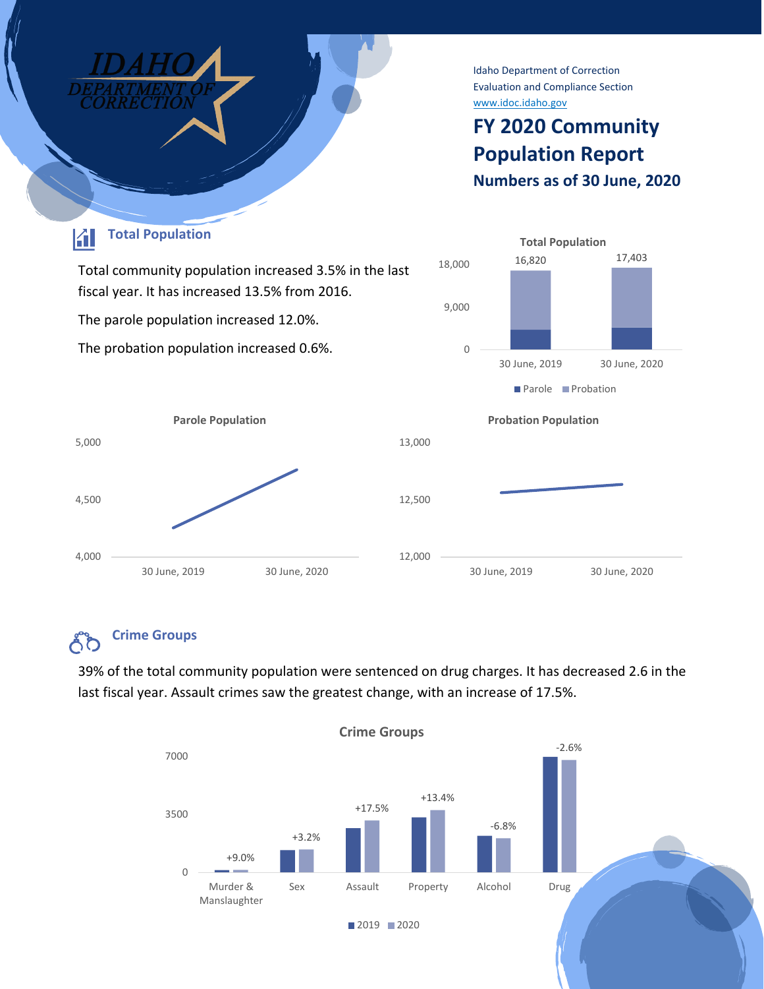

#### **Crime Groups** ŐŐ

39% of the total community population were sentenced on drug charges. It has decreased 2.6 in the last fiscal year. Assault crimes saw the greatest change, with an increase of 17.5%.

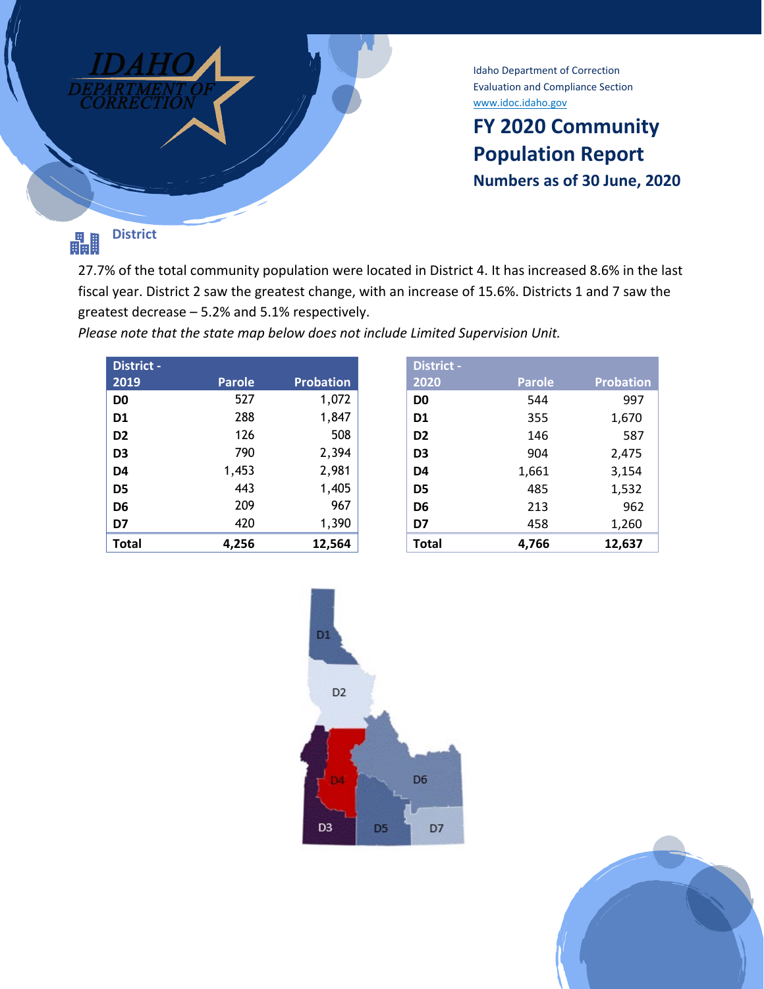

Idaho Department of Correction Evaluation and Compliance Section [www.idoc.idaho.gov](http://www.idoc.idaho.gov/)

## **FY 2020 Community Population Report Numbers as of 30 June, 2020**

### **District** 畾

27.7% of the total community population were located in District 4. It has increased 8.6% in the last fiscal year. District 2 saw the greatest change, with an increase of 15.6%. Districts 1 and 7 saw the greatest decrease – 5.2% and 5.1% respectively.

*Please note that the state map below does not include Limited Supervision Unit.*

| District -     |               |                  |
|----------------|---------------|------------------|
| 2019           | <b>Parole</b> | <b>Probation</b> |
| D <sub>0</sub> | 527           | 1,072            |
| D <sub>1</sub> | 288           | 1,847            |
| D <sub>2</sub> | 126           | 508              |
| D <sub>3</sub> | 790           | 2,394            |
| D <sub>4</sub> | 1,453         | 2,981            |
| D <sub>5</sub> | 443           | 1,405            |
| D <sub>6</sub> | 209           | 967              |
| D7             | 420           | 1,390            |
| <b>Total</b>   | 4.256         | 12,564           |

| <b>District -</b> |               |                  |
|-------------------|---------------|------------------|
| 2020              | <b>Parole</b> | <b>Probation</b> |
| D <sub>0</sub>    | 544           | 997              |
| D <sub>1</sub>    | 355           | 1,670            |
| D <sub>2</sub>    | 146           | 587              |
| D <sub>3</sub>    | 904           | 2,475            |
| D4                | 1,661         | 3,154            |
| D5                | 485           | 1,532            |
| D6                | 213           | 962              |
| D7                | 458           | 1,260            |
| <b>Total</b>      | 4.766         | 12,637           |